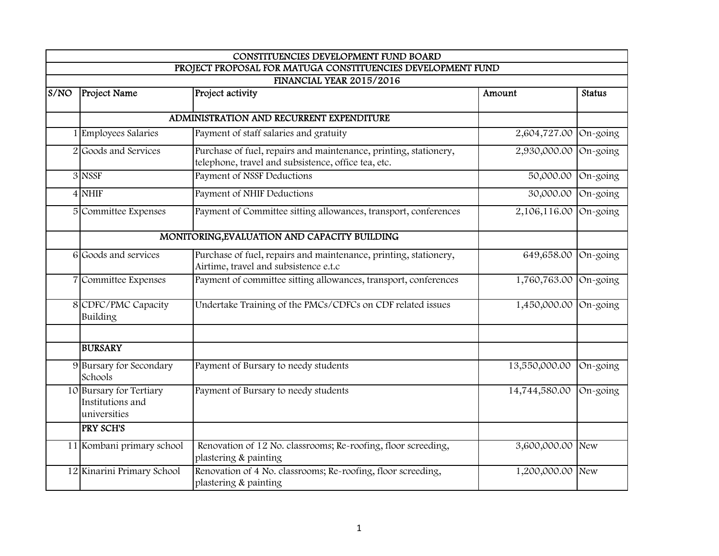|      |                                                             | CONSTITUENCIES DEVELOPMENT FUND BOARD                                                                                   |               |               |  |  |
|------|-------------------------------------------------------------|-------------------------------------------------------------------------------------------------------------------------|---------------|---------------|--|--|
|      |                                                             | PROJECT PROPOSAL FOR MATUGA CONSTITUENCIES DEVELOPMENT FUND                                                             |               |               |  |  |
|      | <b>FINANCIAL YEAR 2015/2016</b>                             |                                                                                                                         |               |               |  |  |
| S/NO | <b>Project Name</b>                                         | Project activity                                                                                                        | Amount        | <b>Status</b> |  |  |
|      |                                                             | ADMINISTRATION AND RECURRENT EXPENDITURE                                                                                |               |               |  |  |
|      | 1 Employees Salaries                                        | Payment of staff salaries and gratuity                                                                                  | 2,604,727.00  | On-going      |  |  |
|      | 2 Goods and Services                                        | Purchase of fuel, repairs and maintenance, printing, stationery,<br>telephone, travel and subsistence, office tea, etc. | 2,930,000.00  | On-going      |  |  |
|      | 3 NSSF                                                      | Payment of NSSF Deductions                                                                                              | 50,000.00     | On-going      |  |  |
|      | $4$ NHIF                                                    | Payment of NHIF Deductions                                                                                              | 30,000.00     | On-going      |  |  |
|      | 5 Committee Expenses                                        | Payment of Committee sitting allowances, transport, conferences                                                         | 2,106,116.00  | On-going      |  |  |
|      |                                                             | MONITORING, EVALUATION AND CAPACITY BUILDING                                                                            |               |               |  |  |
|      | 6 Goods and services                                        | Purchase of fuel, repairs and maintenance, printing, stationery,<br>Airtime, travel and subsistence e.t.c               | 649,658.00    | On-going      |  |  |
|      | 7 Committee Expenses                                        | Payment of committee sitting allowances, transport, conferences                                                         | 1,760,763.00  | On-going      |  |  |
|      | 8 CDFC/PMC Capacity<br>Building                             | Undertake Training of the PMCs/CDFCs on CDF related issues                                                              | 1,450,000.00  | On-going      |  |  |
|      | <b>BURSARY</b>                                              |                                                                                                                         |               |               |  |  |
|      | 9 Bursary for Secondary<br>Schools                          | Payment of Bursary to needy students                                                                                    | 13,550,000.00 | On-going      |  |  |
|      | 10 Bursary for Tertiary<br>Institutions and<br>universities | Payment of Bursary to needy students                                                                                    | 14,744,580.00 | On-going      |  |  |
|      | <b>PRY SCH'S</b>                                            |                                                                                                                         |               |               |  |  |
|      | 11 Kombani primary school                                   | Renovation of 12 No. classrooms; Re-roofing, floor screeding,<br>plastering & painting                                  | 3,600,000.00  | <b>New</b>    |  |  |
|      | 12 Kinarini Primary School                                  | Renovation of 4 No. classrooms; Re-roofing, floor screeding,<br>plastering & painting                                   | 1,200,000.00  | <b>New</b>    |  |  |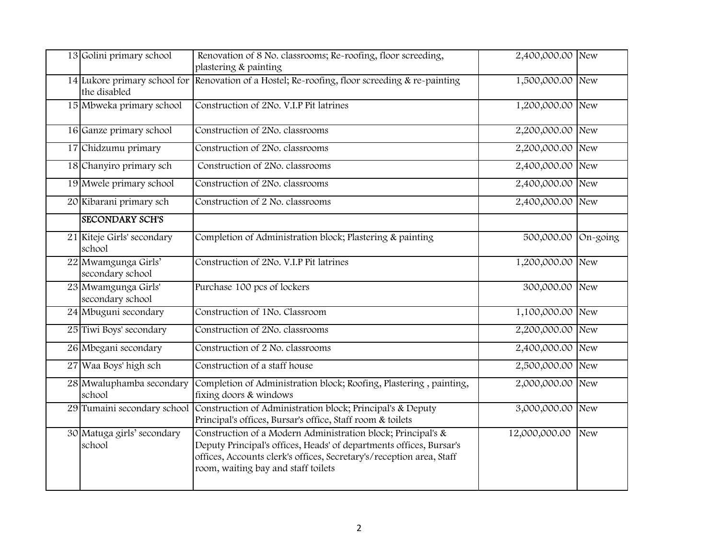| 13 Golini primary school                | Renovation of 8 No. classrooms; Re-roofing, floor screeding,                                                                                                                                                                                       | 2,400,000.00 New |          |
|-----------------------------------------|----------------------------------------------------------------------------------------------------------------------------------------------------------------------------------------------------------------------------------------------------|------------------|----------|
|                                         | plastering & painting                                                                                                                                                                                                                              |                  |          |
| the disabled                            | 14 Lukore primary school for Renovation of a Hostel; Re-roofing, floor screeding & re-painting                                                                                                                                                     | 1,500,000.00 New |          |
| 15 Mbweka primary school                | Construction of 2No. V.I.P Pit latrines                                                                                                                                                                                                            | 1,200,000.00 New |          |
| 16 Ganze primary school                 | Construction of 2No. classrooms                                                                                                                                                                                                                    | 2,200,000.00 New |          |
| 17 Chidzumu primary                     | Construction of 2No. classrooms                                                                                                                                                                                                                    | 2,200,000.00 New |          |
| 18 Chanyiro primary sch                 | Construction of 2No. classrooms                                                                                                                                                                                                                    | 2,400,000.00 New |          |
| 19 Mwele primary school                 | Construction of 2No. classrooms                                                                                                                                                                                                                    | 2,400,000.00 New |          |
| 20 Kibarani primary sch                 | Construction of 2 No. classrooms                                                                                                                                                                                                                   | 2,400,000.00 New |          |
| <b>SECONDARY SCH'S</b>                  |                                                                                                                                                                                                                                                    |                  |          |
| 21 Kiteje Girls' secondary<br>school    | Completion of Administration block; Plastering & painting                                                                                                                                                                                          | 500,000.00       | On-going |
| 22 Mwamgunga Girls'<br>secondary school | Construction of 2No. V.I.P Pit latrines                                                                                                                                                                                                            | 1,200,000.00 New |          |
| 23 Mwamgunga Girls'<br>secondary school | Purchase 100 pcs of lockers                                                                                                                                                                                                                        | 300,000.00       | New      |
| 24 Mbuguni secondary                    | Construction of 1No. Classroom                                                                                                                                                                                                                     | 1,100,000.00 New |          |
| 25 Tiwi Boys' secondary                 | Construction of 2No. classrooms                                                                                                                                                                                                                    | 2,200,000.00 New |          |
| 26 Mbegani secondary                    | Construction of 2 No. classrooms                                                                                                                                                                                                                   | 2,400,000.00 New |          |
| 27 Waa Boys' high sch                   | Construction of a staff house                                                                                                                                                                                                                      | 2,500,000.00 New |          |
| 28 Mwaluphamba secondary<br>school      | Completion of Administration block; Roofing, Plastering, painting,<br>fixing doors & windows                                                                                                                                                       | 2,000,000.00 New |          |
| 29 Tumaini secondary school             | Construction of Administration block; Principal's & Deputy<br>Principal's offices, Bursar's office, Staff room & toilets                                                                                                                           | 3,000,000.00 New |          |
| 30 Matuga girls' secondary<br>school    | Construction of a Modern Administration block; Principal's &<br>Deputy Principal's offices, Heads' of departments offices, Bursar's<br>offices, Accounts clerk's offices, Secretary's/reception area, Staff<br>room, waiting bay and staff toilets | 12,000,000.00    | New      |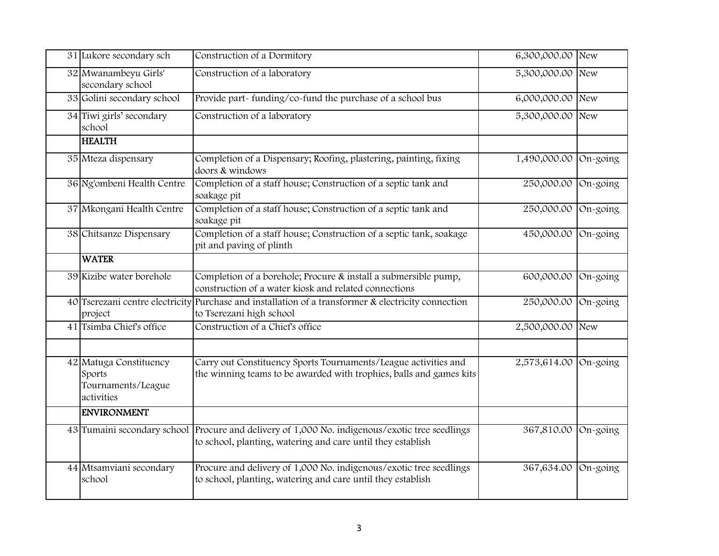| 31 Lukore secondary sch                                              | Construction of a Dormitory                                                                                                                                   | 6,300,000.00 | New        |
|----------------------------------------------------------------------|---------------------------------------------------------------------------------------------------------------------------------------------------------------|--------------|------------|
| 32 Mwanambeyu Girls'<br>secondary school                             | Construction of a laboratory                                                                                                                                  | 5,300,000.00 | New        |
| 33 Golini secondary school                                           | Provide part-funding/co-fund the purchase of a school bus                                                                                                     | 6,000,000.00 | <b>New</b> |
| 34 Tiwi girls' secondary<br>school                                   | Construction of a laboratory                                                                                                                                  | 5,300,000.00 | <b>New</b> |
| <b>HEALTH</b>                                                        |                                                                                                                                                               |              |            |
| 35 Mteza dispensary                                                  | Completion of a Dispensary; Roofing, plastering, painting, fixing<br>doors & windows                                                                          | 1,490,000.00 | On-going   |
| 36 Ng'ombeni Health Centre                                           | Completion of a staff house; Construction of a septic tank and<br>soakage pit                                                                                 | 250,000.00   | On-going   |
| 37 Mkongani Health Centre                                            | Completion of a staff house; Construction of a septic tank and<br>soakage pit                                                                                 | 250,000.00   | On-going   |
| 38 Chitsanze Dispensary                                              | Completion of a staff house; Construction of a septic tank, soakage<br>pit and paving of plinth                                                               | 450,000.00   | On-going   |
| <b>WATER</b>                                                         |                                                                                                                                                               |              |            |
| 39 Kizibe water borehole                                             | Completion of a borehole; Procure & install a submersible pump,<br>construction of a water kiosk and related connections                                      | 600,000.00   | On-going   |
| project                                                              | 40 Tserezani centre electricity Purchase and installation of a transformer & electricity connection<br>to Tserezani high school                               | 250,000.00   | On-going   |
| 41 Tsimba Chief's office                                             | Construction of a Chief's office                                                                                                                              | 2,500,000.00 | New        |
| 42 Matuga Constituency<br>Sports<br>Tournaments/League<br>activities | Carry out Constituency Sports Tournaments/League activities and<br>the winning teams to be awarded with trophies, balls and games kits                        | 2,573,614.00 | On-going   |
| <b>ENVIRONMENT</b>                                                   |                                                                                                                                                               |              |            |
|                                                                      | 43 Tumaini secondary school Procure and delivery of 1,000 No. indigenous/exotic tree seedlings<br>to school, planting, watering and care until they establish | 367,810.00   | On-going   |
| 44 Mtsamviani secondary<br>school                                    | Procure and delivery of 1,000 No. indigenous/exotic tree seedlings<br>to school, planting, watering and care until they establish                             | 367,634.00   | On-going   |